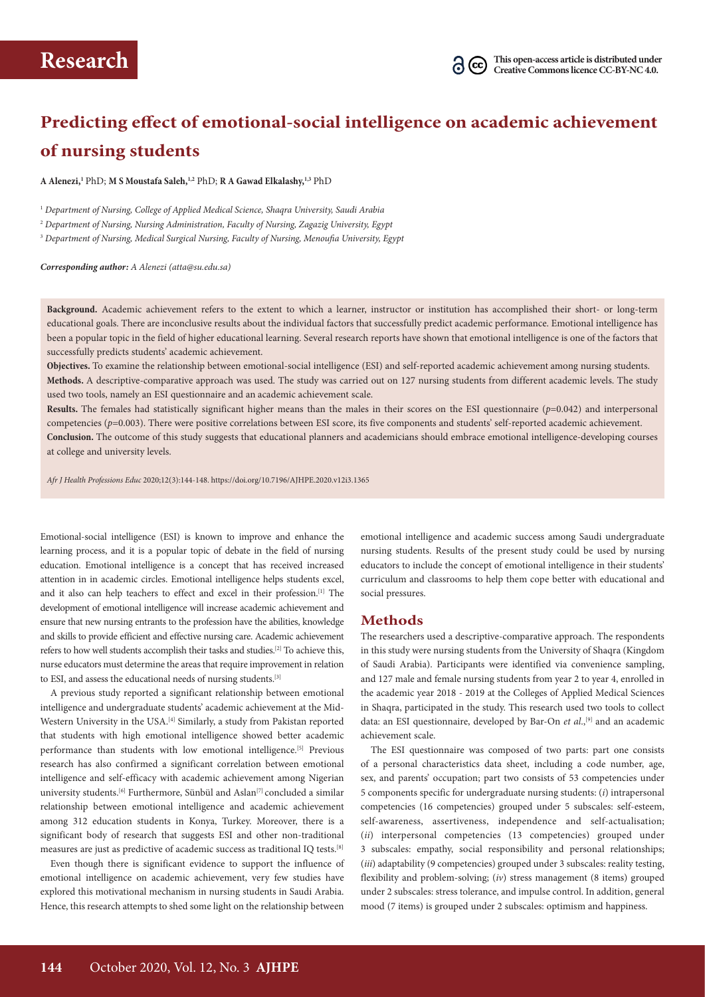# **Predicting effect of emotional-social intelligence on academic achievement of nursing students**

**A Alenezi,1** PhD; **M S Moustafa Saleh,1,2** PhD; **R A Gawad Elkalashy,1,3** PhD

1  *Department of Nursing, College of Applied Medical Science, Shaqra University, Saudi Arabia*

2  *Department of Nursing, Nursing Administration, Faculty of Nursing, Zagazig University, Egypt* 

3  *Department of Nursing, Medical Surgical Nursing, Faculty of Nursing, Menoufia University, Egypt*

*Corresponding author: A Alenezi (atta@su.edu.sa)* 

**Background.** Academic achievement refers to the extent to which a learner, instructor or institution has accomplished their short- or long-term educational goals. There are inconclusive results about the individual factors that successfully predict academic performance. Emotional intelligence has been a popular topic in the field of higher educational learning. Several research reports have shown that emotional intelligence is one of the factors that successfully predicts students' academic achievement.

**Objectives.** To examine the relationship between emotional-social intelligence (ESI) and self-reported academic achievement among nursing students. **Methods.** A descriptive-comparative approach was used. The study was carried out on 127 nursing students from different academic levels. The study used two tools, namely an ESI questionnaire and an academic achievement scale.

**Results.** The females had statistically significant higher means than the males in their scores on the ESI questionnaire (*p*=0.042) and interpersonal competencies ( $p=0.003$ ). There were positive correlations between ESI score, its five components and students' self-reported academic achievement. **Conclusion.** The outcome of this study suggests that educational planners and academicians should embrace emotional intelligence-developing courses at college and university levels.

*Afr J Health Professions Educ* 2020;12(3):144-148. https://doi.org/10.7196/AJHPE.2020.v12i3.1365

Emotional-social intelligence (ESI) is known to improve and enhance the learning process, and it is a popular topic of debate in the field of nursing education. Emotional intelligence is a concept that has received increased attention in in academic circles. Emotional intelligence helps students excel, and it also can help teachers to effect and excel in their profession.[1] The development of emotional intelligence will increase academic achievement and ensure that new nursing entrants to the profession have the abilities, knowledge and skills to provide efficient and effective nursing care. Academic achievement refers to how well students accomplish their tasks and studies.[2] To achieve this, nurse educators must determine the areas that require improvement in relation to ESI, and assess the educational needs of nursing students.[3]

A previous study reported a significant relationship between emotional intelligence and undergraduate students' academic achievement at the Mid-Western University in the USA.<sup>[4]</sup> Similarly, a study from Pakistan reported that students with high emotional intelligence showed better academic performance than students with low emotional intelligence.<sup>[5]</sup> Previous research has also confirmed a significant correlation between emotional intelligence and self-efficacy with academic achievement among Nigerian university students. $^{[6]}$  Furthermore, Sünbül and Aslan $^{[7]}$  concluded a similar relationship between emotional intelligence and academic achievement among 312 education students in Konya, Turkey. Moreover, there is a significant body of research that suggests ESI and other non-traditional measures are just as predictive of academic success as traditional IQ tests.[8]

Even though there is significant evidence to support the influence of emotional intelligence on academic achievement, very few studies have explored this motivational mechanism in nursing students in Saudi Arabia. Hence, this research attempts to shed some light on the relationship between

emotional intelligence and academic success among Saudi undergraduate nursing students. Results of the present study could be used by nursing educators to include the concept of emotional intelligence in their students' curriculum and classrooms to help them cope better with educational and social pressures.

### **Methods**

The researchers used a descriptive-comparative approach. The respondents in this study were nursing students from the University of Shaqra (Kingdom of Saudi Arabia). Participants were identified via convenience sampling, and 127 male and female nursing students from year 2 to year 4, enrolled in the academic year 2018 - 2019 at the Colleges of Applied Medical Sciences in Shaqra, participated in the study. This research used two tools to collect data: an ESI questionnaire, developed by Bar-On *et al.*,<sup>[9]</sup> and an academic achievement scale.

The ESI questionnaire was composed of two parts: part one consists of a personal characteristics data sheet, including a code number, age, sex, and parents' occupation; part two consists of 53 competencies under 5 components specific for undergraduate nursing students: (*i*) intrapersonal competencies (16 competencies) grouped under 5 subscales: self-esteem, self-awareness, assertiveness, independence and self-actualisation; (*ii*) interpersonal competencies (13 competencies) grouped under 3 subscales: empathy, social responsibility and personal relationships; (*iii*) adaptability (9 competencies) grouped under 3 subscales: reality testing, flexibility and problem-solving; (*iv*) stress management (8 items) grouped under 2 subscales: stress tolerance, and impulse control. In addition, general mood (7 items) is grouped under 2 subscales: optimism and happiness.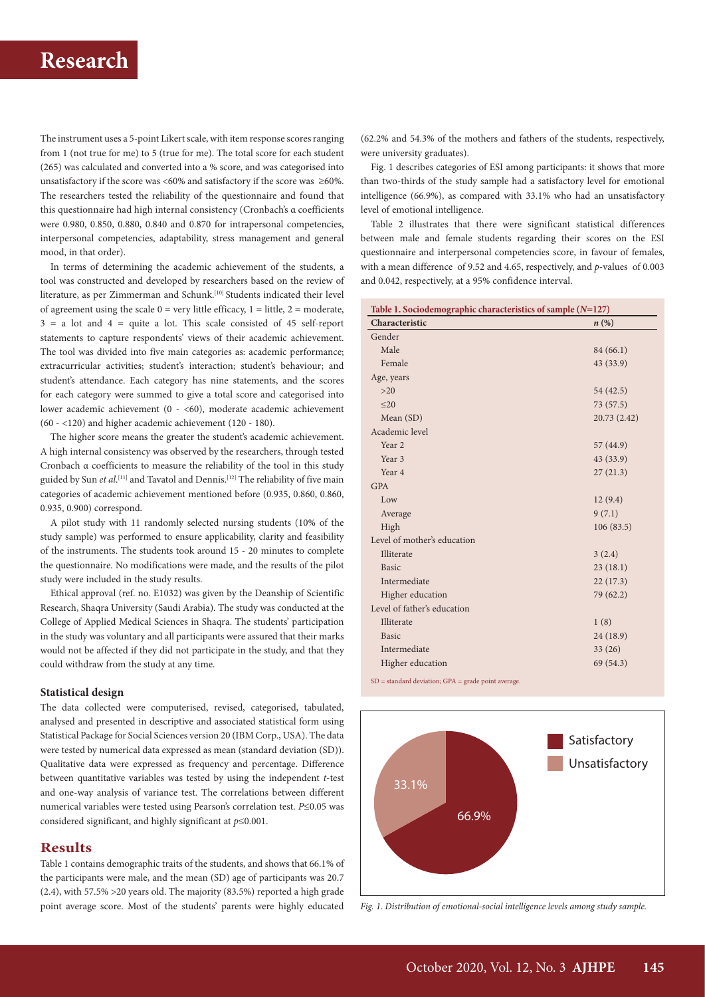# **Research**

The instrument uses a 5-point Likert scale, with item response scores ranging from 1 (not true for me) to 5 (true for me). The total score for each student (265) was calculated and converted into a % score, and was categorised into unsatisfactory if the score was <60% and satisfactory if the score was  $\geq$ 60%. The researchers tested the reliability of the questionnaire and found that this questionnaire had high internal consistency (Cronbach's α coefficients were 0.980, 0.850, 0.880, 0.840 and 0.870 for intrapersonal competencies, interpersonal competencies, adaptability, stress management and general mood, in that order).

In terms of determining the academic achievement of the students, a tool was constructed and developed by researchers based on the review of literature, as per Zimmerman and Schunk.[10] Students indicated their level of agreement using the scale  $0 = \text{very little efficacy}, 1 = \text{little}, 2 = \text{moderate},$  $3 = a$  lot and  $4 =$  quite a lot. This scale consisted of 45 self-report statements to capture respondents' views of their academic achievement. The tool was divided into five main categories as: academic performance; extracurricular activities; student's interaction; student's behaviour; and student's attendance. Each category has nine statements, and the scores for each category were summed to give a total score and categorised into lower academic achievement (0 - <60), moderate academic achievement (60 - <120) and higher academic achievement (120 - 180).

The higher score means the greater the student's academic achievement. A high internal consistency was observed by the researchers, through tested Cronbach α coefficients to measure the reliability of the tool in this study guided by Sun *et al*. [11] and Tavatol and Dennis.[12] The reliability of five main categories of academic achievement mentioned before (0.935, 0.860, 0.860, 0.935, 0.900) correspond.

A pilot study with 11 randomly selected nursing students (10% of the study sample) was performed to ensure applicability, clarity and feasibility of the instruments. The students took around 15 - 20 minutes to complete the questionnaire. No modifications were made, and the results of the pilot study were included in the study results.

Ethical approval (ref. no. E1032) was given by the Deanship of Scientific Research, Shaqra University (Saudi Arabia). The study was conducted at the College of Applied Medical Sciences in Shaqra. The students' participation in the study was voluntary and all participants were assured that their marks would not be affected if they did not participate in the study, and that they could withdraw from the study at any time.

#### **Statistical design**

The data collected were computerised, revised, categorised, tabulated, analysed and presented in descriptive and associated statistical form using Statistical Package for Social Sciences version 20 (IBM Corp., USA). The data were tested by numerical data expressed as mean (standard deviation (SD)). Qualitative data were expressed as frequency and percentage. Difference between quantitative variables was tested by using the independent *t*-test and one-way analysis of variance test. The correlations between different numerical variables were tested using Pearson's correlation test. *P*≤0.05 was considered significant, and highly significant at *p*≤0.001.

### **Results**

Table 1 contains demographic traits of the students, and shows that 66.1% of the participants were male, and the mean (SD) age of participants was 20.7 (2.4), with 57.5% >20 years old. The majority (83.5%) reported a high grade point average score. Most of the students' parents were highly educated

(62.2% and 54.3% of the mothers and fathers of the students, respectively, were university graduates).

Fig. 1 describes categories of ESI among participants: it shows that more than two-thirds of the study sample had a satisfactory level for emotional intelligence (66.9%), as compared with 33.1% who had an unsatisfactory level of emotional intelligence.

Table 2 illustrates that there were significant statistical differences between male and female students regarding their scores on the ESI questionnaire and interpersonal competencies score, in favour of females, with a mean difference of 9.52 and 4.65, respectively, and *p*-values of 0.003 and 0.042, respectively, at a 95% confidence interval.

| Table 1. Sociodemographic characteristics of sample $(N=127)$ |                    |  |  |
|---------------------------------------------------------------|--------------------|--|--|
| Characteristic                                                | $n\left(\%\right)$ |  |  |
| Gender                                                        |                    |  |  |
| Male                                                          | 84 (66.1)          |  |  |
| Female                                                        | 43 (33.9)          |  |  |
| Age, years                                                    |                    |  |  |
| $>20$                                                         | 54 (42.5)          |  |  |
| $20$                                                          | 73(57.5)           |  |  |
| Mean (SD)                                                     | 20.73 (2.42)       |  |  |
| Academic level                                                |                    |  |  |
| Year <sub>2</sub>                                             | 57 (44.9)          |  |  |
| Year 3                                                        | 43 (33.9)          |  |  |
| Year 4                                                        | 27(21.3)           |  |  |
| <b>GPA</b>                                                    |                    |  |  |
| Low                                                           | 12(9.4)            |  |  |
| Average                                                       | 9(7.1)             |  |  |
| High                                                          | 106(83.5)          |  |  |
| Level of mother's education                                   |                    |  |  |
| <b>Illiterate</b>                                             | 3(2.4)             |  |  |
| <b>Basic</b>                                                  | 23(18.1)           |  |  |
| Intermediate                                                  | 22(17.3)           |  |  |
| Higher education                                              | 79 (62.2)          |  |  |
| Level of father's education                                   |                    |  |  |
| <b>Illiterate</b>                                             | 1(8)               |  |  |
| <b>Basic</b>                                                  | 24 (18.9)          |  |  |
| Intermediate                                                  | 33(26)             |  |  |
| Higher education                                              | 69 (54.3)          |  |  |
|                                                               |                    |  |  |

SD = standard deviation; GPA = grade point average.



*Fig. 1. Distribution of emotional-social intelligence levels among study sample.*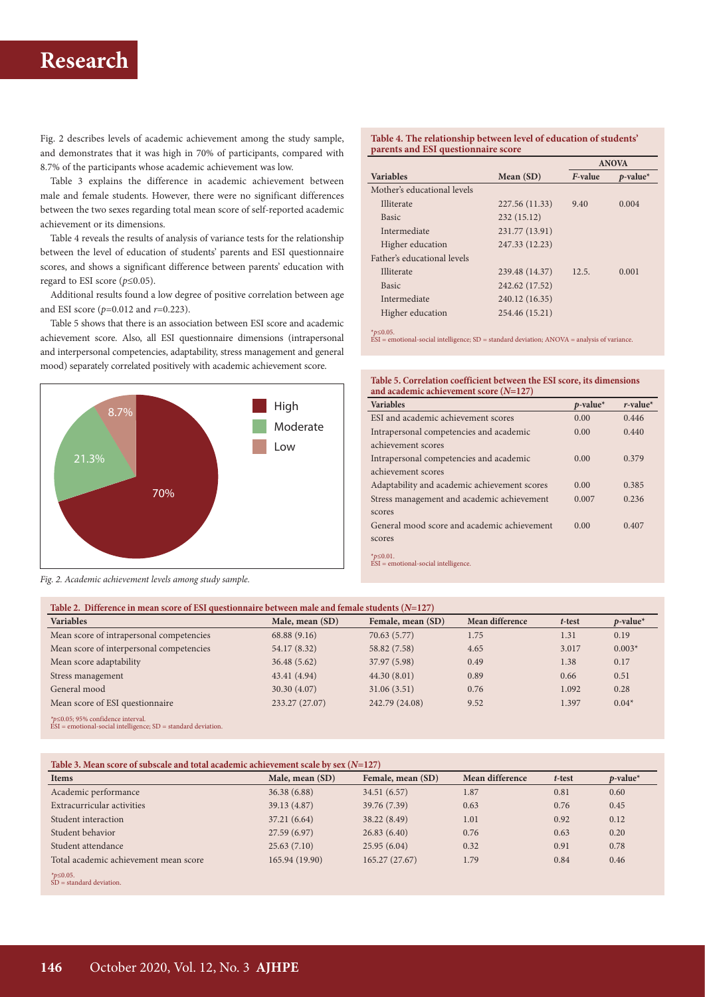# **Research**

Fig. 2 describes levels of academic achievement among the study sample, and demonstrates that it was high in 70% of participants, compared with 8.7% of the participants whose academic achievement was low.

Table 3 explains the difference in academic achievement between male and female students. However, there were no significant differences between the two sexes regarding total mean score of self-reported academic achievement or its dimensions.

Table 4 reveals the results of analysis of variance tests for the relationship between the level of education of students' parents and ESI questionnaire scores, and shows a significant difference between parents' education with regard to ESI score (*p*≤0.05).

Additional results found a low degree of positive correlation between age and ESI score (*p*=0.012 and *r*=0.223).

Table 5 shows that there is an association between ESI score and academic achievement score. Also, all ESI questionnaire dimensions (intrapersonal and interpersonal competencies, adaptability, stress management and general mood) separately correlated positively with academic achievement score.



*Fig. 2. Academic achievement levels among study sample.*

#### **Table 4. The relationship between level of education of students' parents and ESI questionnaire score**

|                             |                | <b>ANOVA</b> |             |
|-----------------------------|----------------|--------------|-------------|
| <b>Variables</b>            | Mean $(SD)$    | F-value      | $p$ -value* |
| Mother's educational levels |                |              |             |
| <b>Illiterate</b>           | 227.56 (11.33) | 9.40         | 0.004       |
| <b>Basic</b>                | 232 (15.12)    |              |             |
| Intermediate                | 231.77 (13.91) |              |             |
| Higher education            | 247.33 (12.23) |              |             |
| Father's educational levels |                |              |             |
| Illiterate                  | 239.48 (14.37) | 12.5.        | 0.001       |
| <b>Basic</b>                | 242.62 (17.52) |              |             |
| Intermediate                | 240.12 (16.35) |              |             |
| Higher education            | 254.46 (15.21) |              |             |

\**p*≤0.05. ESI = emotional-social intelligence; SD = standard deviation; ANOVA = analysis of variance.

**Table 5. Correlation coefficient between the ESI score, its dimensions and academic achievement score (***N***=127)**

| <b>Variables</b>                                                                                                                | $p$ -value* | $r$ -value <sup>*</sup> |
|---------------------------------------------------------------------------------------------------------------------------------|-------------|-------------------------|
| ESI and academic achievement scores                                                                                             | 0.00        | 0.446                   |
| Intrapersonal competencies and academic                                                                                         | 0.00        | 0.440                   |
| achievement scores                                                                                                              |             |                         |
| Intrapersonal competencies and academic                                                                                         | 0.00        | 0.379                   |
| achievement scores                                                                                                              |             |                         |
| Adaptability and academic achievement scores                                                                                    | 0.00        | 0.385                   |
| Stress management and academic achievement                                                                                      | 0.007       | 0.236                   |
| scores                                                                                                                          |             |                         |
| General mood score and academic achievement                                                                                     | 0.00        | 0.407                   |
| scores                                                                                                                          |             |                         |
| * $p$ ≤0.01.<br>the contract of the contract of the contract of the contract of the contract of the contract of the contract of |             |                         |

ESI = emotional-social intelligence.

| Table 2. Difference in mean score of ESI questionnaire between male and female students $(N=127)$            |                 |                   |                 |        |             |
|--------------------------------------------------------------------------------------------------------------|-----------------|-------------------|-----------------|--------|-------------|
| <b>Variables</b>                                                                                             | Male, mean (SD) | Female, mean (SD) | Mean difference | t-test | $p$ -value* |
| Mean score of intrapersonal competencies                                                                     | 68.88(9.16)     | 70.63 (5.77)      | 1.75            | 1.31   | 0.19        |
| Mean score of interpersonal competencies                                                                     | 54.17 (8.32)    | 58.82 (7.58)      | 4.65            | 3.017  | $0.003*$    |
| Mean score adaptability                                                                                      | 36.48(5.62)     | 37.97 (5.98)      | 0.49            | 1.38   | 0.17        |
| Stress management                                                                                            | 43.41 (4.94)    | 44.30(8.01)       | 0.89            | 0.66   | 0.51        |
| General mood                                                                                                 | 30.30 (4.07)    | 31.06(3.51)       | 0.76            | 1.092  | 0.28        |
| Mean score of ESI questionnaire                                                                              | 233.27 (27.07)  | 242.79 (24.08)    | 9.52            | 1.397  | $0.04*$     |
| *p≤0.05; 95% confidence interval.<br>$\hat{ES}I$ = emotional-social intelligence; $SD$ = standard deviation. |                 |                   |                 |        |             |

### **Table 3. Mean score of subscale and total academic achievement scale by sex (***N***=127)**

| <b>Items</b>                          | Male, mean (SD) | Female, mean (SD) | Mean difference | t-test | $p$ -value* |
|---------------------------------------|-----------------|-------------------|-----------------|--------|-------------|
| Academic performance                  | 36.38(6.88)     | 34.51 (6.57)      | 1.87            | 0.81   | 0.60        |
| Extracurricular activities            | 39.13 (4.87)    | 39.76 (7.39)      | 0.63            | 0.76   | 0.45        |
| Student interaction                   | 37.21 (6.64)    | 38.22 (8.49)      | 1.01            | 0.92   | 0.12        |
| Student behavior                      | 27.59 (6.97)    | 26.83(6.40)       | 0.76            | 0.63   | 0.20        |
| Student attendance                    | 25.63(7.10)     | 25.95(6.04)       | 0.32            | 0.91   | 0.78        |
| Total academic achievement mean score | 165.94 (19.90)  | 165.27 (27.67)    | 1.79            | 0.84   | 0.46        |
|                                       |                 |                   |                 |        |             |

*\*p*≤0.05. SD = standard deviation.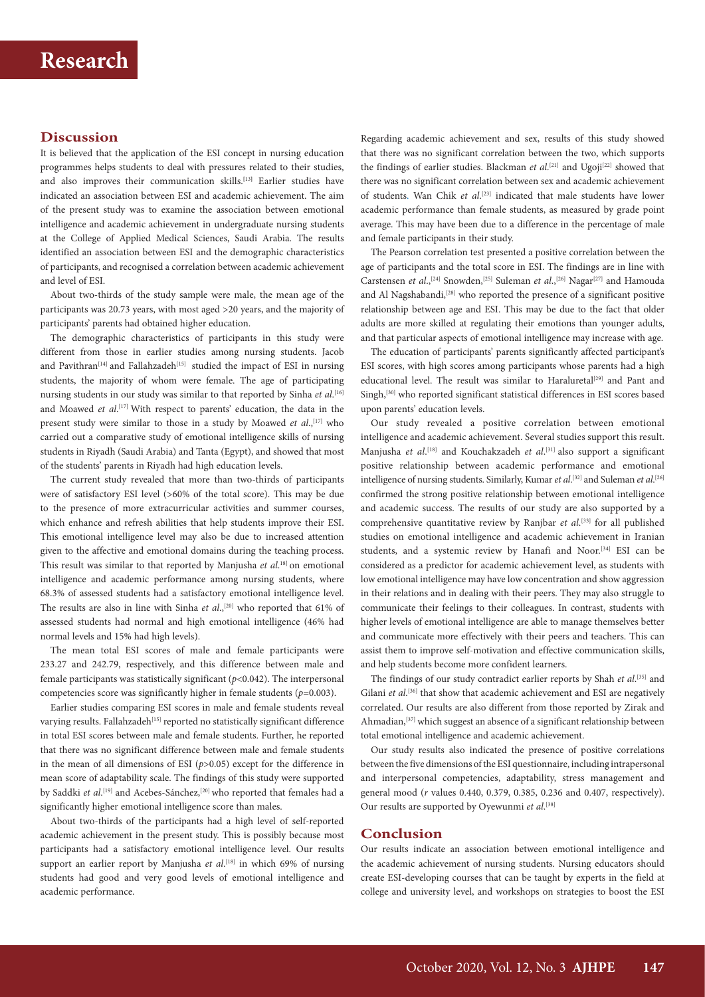## **Discussion**

It is believed that the application of the ESI concept in nursing education programmes helps students to deal with pressures related to their studies, and also improves their communication skills.**[**13**]** Earlier studies have indicated an association between ESI and academic achievement. The aim of the present study was to examine the association between emotional intelligence and academic achievement in undergraduate nursing students at the College of Applied Medical Sciences, Saudi Arabia. The results identified an association between ESI and the demographic characteristics of participants, and recognised a correlation between academic achievement and level of ESI.

About two-thirds of the study sample were male, the mean age of the participants was 20.73 years, with most aged >20 years, and the majority of participants' parents had obtained higher education.

The demographic characteristics of participants in this study were different from those in earlier studies among nursing students. Jacob and Pavithran<sup>[14]</sup> and Fallahzadeh<sup>[15]</sup> studied the impact of ESI in nursing students, the majority of whom were female. The age of participating nursing students in our study was similar to that reported by Sinha *et al*. [16] and Moawed *et al.*<sup>[17]</sup> With respect to parents' education, the data in the present study were similar to those in a study by Moawed *et al.*,<sup>[17]</sup> who carried out a comparative study of emotional intelligence skills of nursing students in Riyadh (Saudi Arabia) and Tanta (Egypt), and showed that most of the students' parents in Riyadh had high education levels.

The current study revealed that more than two-thirds of participants were of satisfactory ESI level (>60% of the total score). This may be due to the presence of more extracurricular activities and summer courses, which enhance and refresh abilities that help students improve their ESI. This emotional intelligence level may also be due to increased attention given to the affective and emotional domains during the teaching process. This result was similar to that reported by Manjusha *et al*. 18] on emotional intelligence and academic performance among nursing students, where 68.3% of assessed students had a satisfactory emotional intelligence level. The results are also in line with Sinha *et al.*,<sup>[20]</sup> who reported that 61% of assessed students had normal and high emotional intelligence (46% had normal levels and 15% had high levels).

The mean total ESI scores of male and female participants were 233.27 and 242.79, respectively, and this difference between male and female participants was statistically significant (*p*<0.042). The interpersonal competencies score was significantly higher in female students (*p*=0.003).

Earlier studies comparing ESI scores in male and female students reveal varying results. Fallahzadeh<sup>[15]</sup> reported no statistically significant difference in total ESI scores between male and female students. Further, he reported that there was no significant difference between male and female students in the mean of all dimensions of ESI (*p*>0.05) except for the difference in mean score of adaptability scale. The findings of this study were supported by Saddki *et al*.<sup>[19]</sup> and Acebes-Sánchez,<sup>[20]</sup> who reported that females had a significantly higher emotional intelligence score than males.

About two-thirds of the participants had a high level of self-reported academic achievement in the present study. This is possibly because most participants had a satisfactory emotional intelligence level. Our results support an earlier report by Manjusha *et al*. [18] in which 69% of nursing students had good and very good levels of emotional intelligence and academic performance.

Regarding academic achievement and sex, results of this study showed that there was no significant correlation between the two, which supports the findings of earlier studies. Blackman *et al*.<sup>[21]</sup> and Ugoji<sup>[22]</sup> showed that there was no significant correlation between sex and academic achievement of students. Wan Chik *et al*. [23] indicated that male students have lower academic performance than female students, as measured by grade point average. This may have been due to a difference in the percentage of male and female participants in their study.

The Pearson correlation test presented a positive correlation between the age of participants and the total score in ESI. The findings are in line with Carstensen *et al.*,<sup>[24]</sup> Snowden,<sup>[25]</sup> Suleman *et al.*,<sup>[26]</sup> Nagar<sup>[27]</sup> and Hamouda and Al Nagshabandi,<sup>[28]</sup> who reported the presence of a significant positive relationship between age and ESI. This may be due to the fact that older adults are more skilled at regulating their emotions than younger adults, and that particular aspects of emotional intelligence may increase with age.

The education of participants' parents significantly affected participant's ESI scores, with high scores among participants whose parents had a high educational level. The result was similar to Haraluretal<sup>[29]</sup> and Pant and Singh,<sup>[30]</sup> who reported significant statistical differences in ESI scores based upon parents' education levels.

Our study revealed a positive correlation between emotional intelligence and academic achievement. Several studies support this result. Manjusha et al.<sup>[18]</sup> and Kouchakzadeh et al.<sup>[31]</sup> also support a significant positive relationship between academic performance and emotional intelligence of nursing students. Similarly, Kumar *et al*.<sup>[32]</sup> and Suleman *et al*.<sup>[26]</sup> confirmed the strong positive relationship between emotional intelligence and academic success. The results of our study are also supported by a comprehensive quantitative review by Ranjbar et al.<sup>[33]</sup> for all published studies on emotional intelligence and academic achievement in Iranian students, and a systemic review by Hanafi and Noor.<sup>[34]</sup> ESI can be considered as a predictor for academic achievement level, as students with low emotional intelligence may have low concentration and show aggression in their relations and in dealing with their peers. They may also struggle to communicate their feelings to their colleagues. In contrast, students with higher levels of emotional intelligence are able to manage themselves better and communicate more effectively with their peers and teachers. This can assist them to improve self-motivation and effective communication skills, and help students become more confident learners.

The findings of our study contradict earlier reports by Shah et al.<sup>[35]</sup> and Gilani *et al.*<sup>[36]</sup> that show that academic achievement and ESI are negatively correlated. Our results are also different from those reported by Zirak and Ahmadian,<sup>[37]</sup> which suggest an absence of a significant relationship between total emotional intelligence and academic achievement.

Our study results also indicated the presence of positive correlations between the five dimensions of the ESI questionnaire, including intrapersonal and interpersonal competencies, adaptability, stress management and general mood (*r* values 0.440, 0.379, 0.385, 0.236 and 0.407, respectively). Our results are supported by Oyewunmi *et al*. [38]

### **Conclusion**

Our results indicate an association between emotional intelligence and the academic achievement of nursing students. Nursing educators should create ESI-developing courses that can be taught by experts in the field at college and university level, and workshops on strategies to boost the ESI